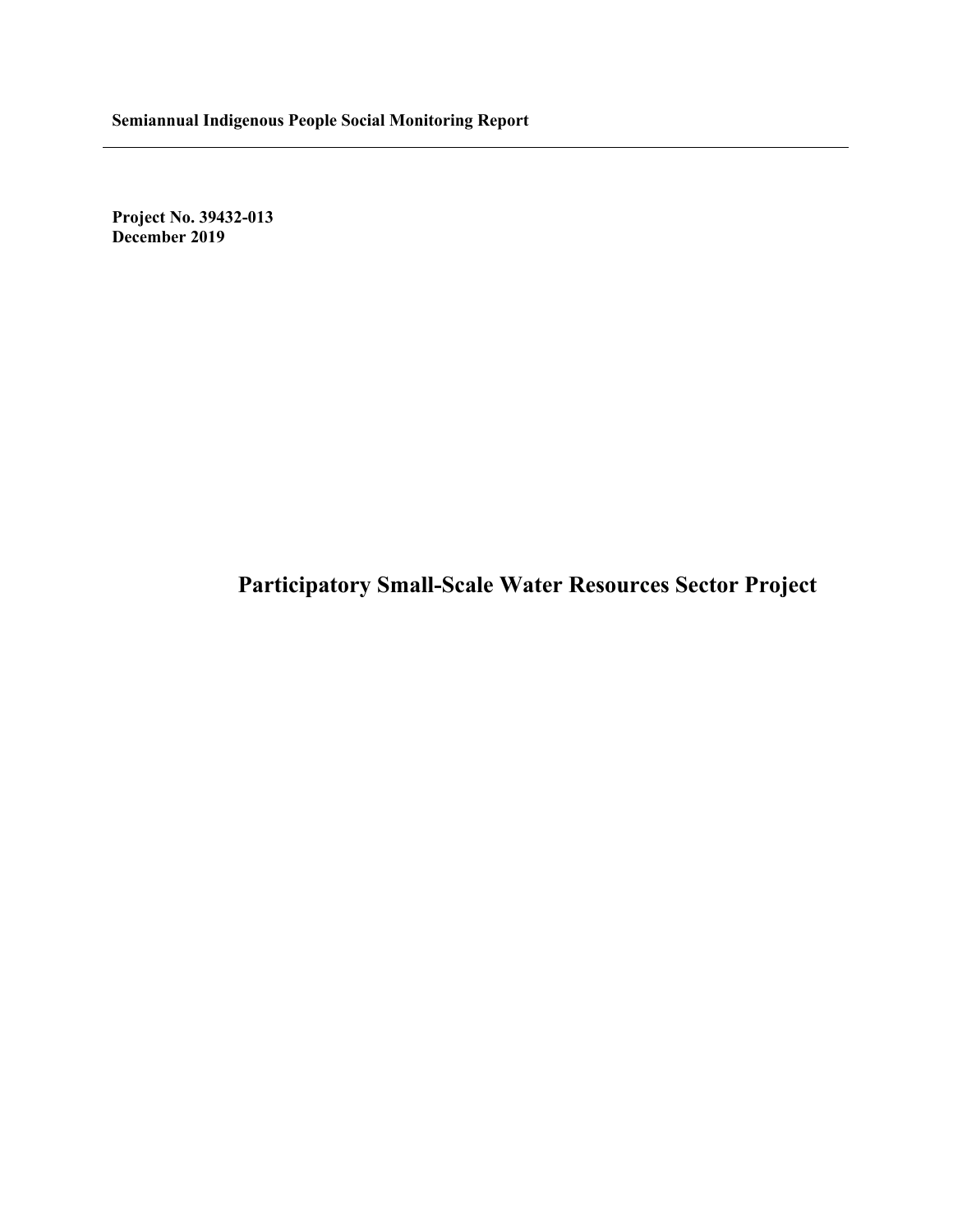**Project No. 39432-013 December 2019**

# **Participatory Small-Scale Water Resources Sector Project**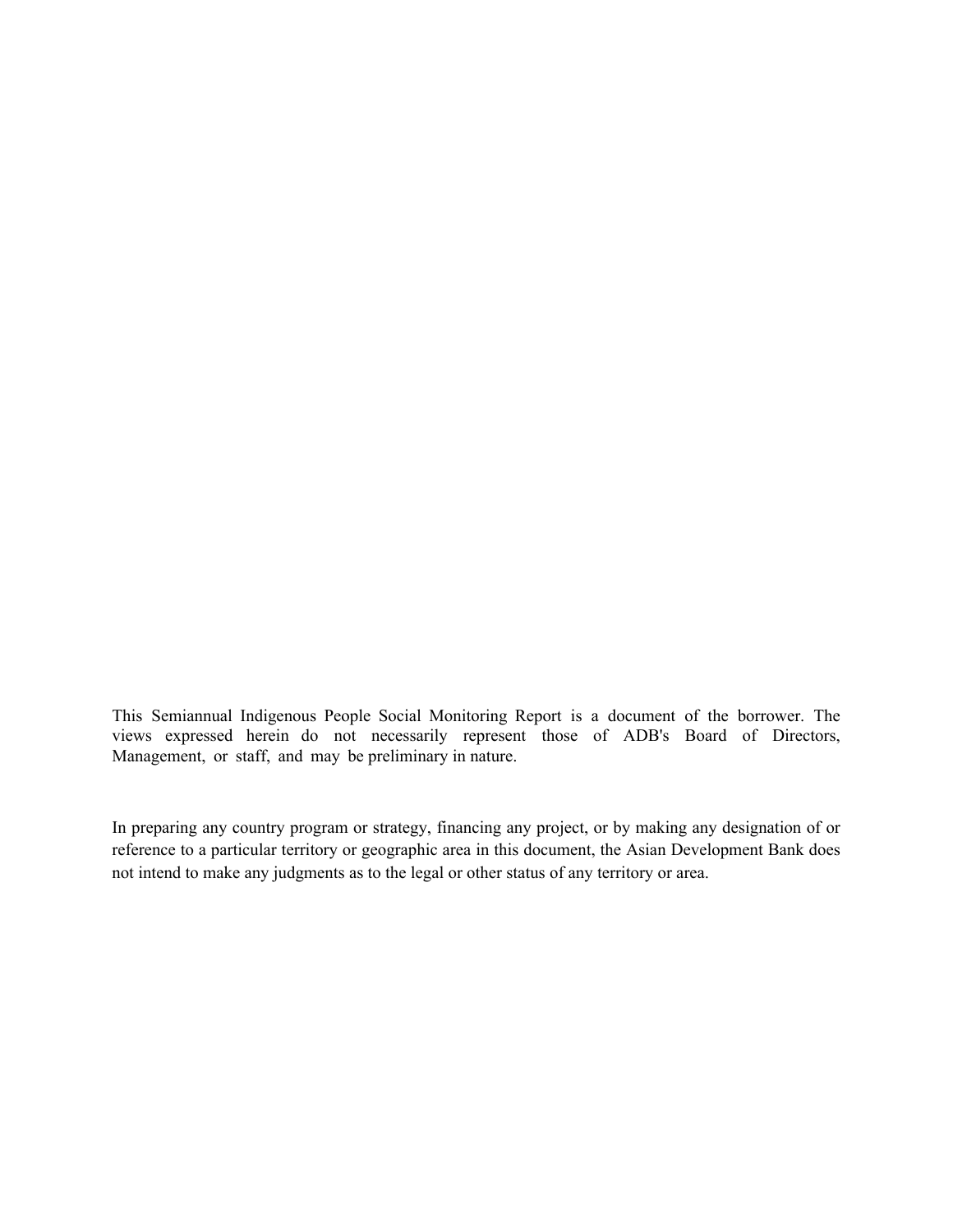This Semiannual Indigenous People Social Monitoring Report is a document of the borrower. The views expressed herein do not necessarily represent those of ADB's Board of Directors, Management, or staff, and may be preliminary in nature.

In preparing any country program or strategy, financing any project, or by making any designation of or reference to a particular territory or geographic area in this document, the Asian Development Bank does not intend to make any judgments as to the legal or other status of any territory or area.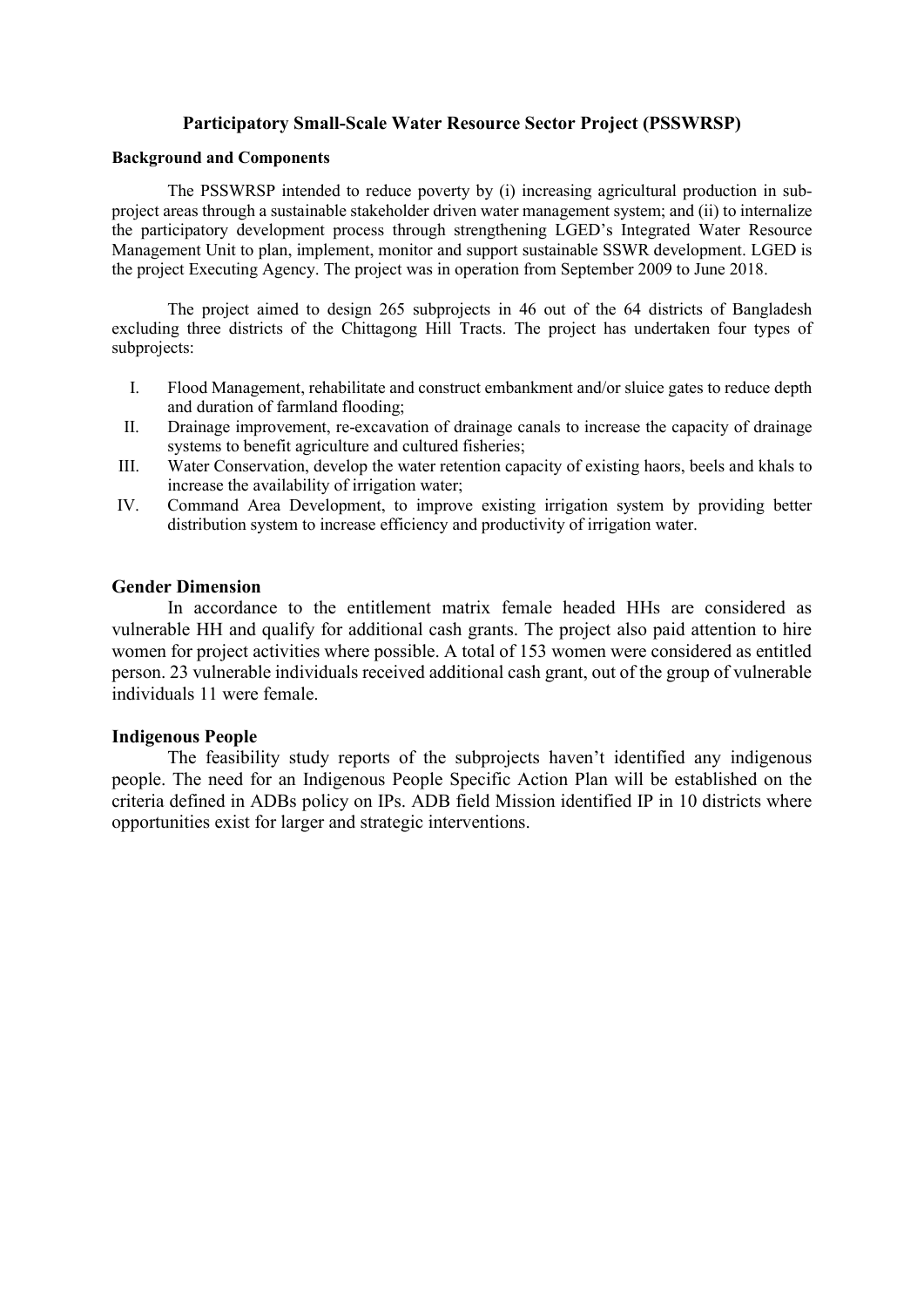### **Participatory Small-Scale Water Resource Sector Project (PSSWRSP)**

#### **Background and Components**

The PSSWRSP intended to reduce poverty by (i) increasing agricultural production in subproject areas through a sustainable stakeholder driven water management system; and (ii) to internalize the participatory development process through strengthening LGED's Integrated Water Resource Management Unit to plan, implement, monitor and support sustainable SSWR development. LGED is the project Executing Agency. The project was in operation from September 2009 to June 2018.

The project aimed to design 265 subprojects in 46 out of the 64 districts of Bangladesh excluding three districts of the Chittagong Hill Tracts. The project has undertaken four types of subprojects:

- I. Flood Management, rehabilitate and construct embankment and/or sluice gates to reduce depth and duration of farmland flooding;
- II. Drainage improvement, re-excavation of drainage canals to increase the capacity of drainage systems to benefit agriculture and cultured fisheries;
- III. Water Conservation, develop the water retention capacity of existing haors, beels and khals to increase the availability of irrigation water;
- IV. Command Area Development, to improve existing irrigation system by providing better distribution system to increase efficiency and productivity of irrigation water.

#### **Gender Dimension**

In accordance to the entitlement matrix female headed HHs are considered as vulnerable HH and qualify for additional cash grants. The project also paid attention to hire women for project activities where possible. A total of 153 women were considered as entitled person. 23 vulnerable individuals received additional cash grant, out of the group of vulnerable individuals 11 were female.

#### **Indigenous People**

The feasibility study reports of the subprojects haven't identified any indigenous people. The need for an Indigenous People Specific Action Plan will be established on the criteria defined in ADBs policy on IPs. ADB field Mission identified IP in 10 districts where opportunities exist for larger and strategic interventions.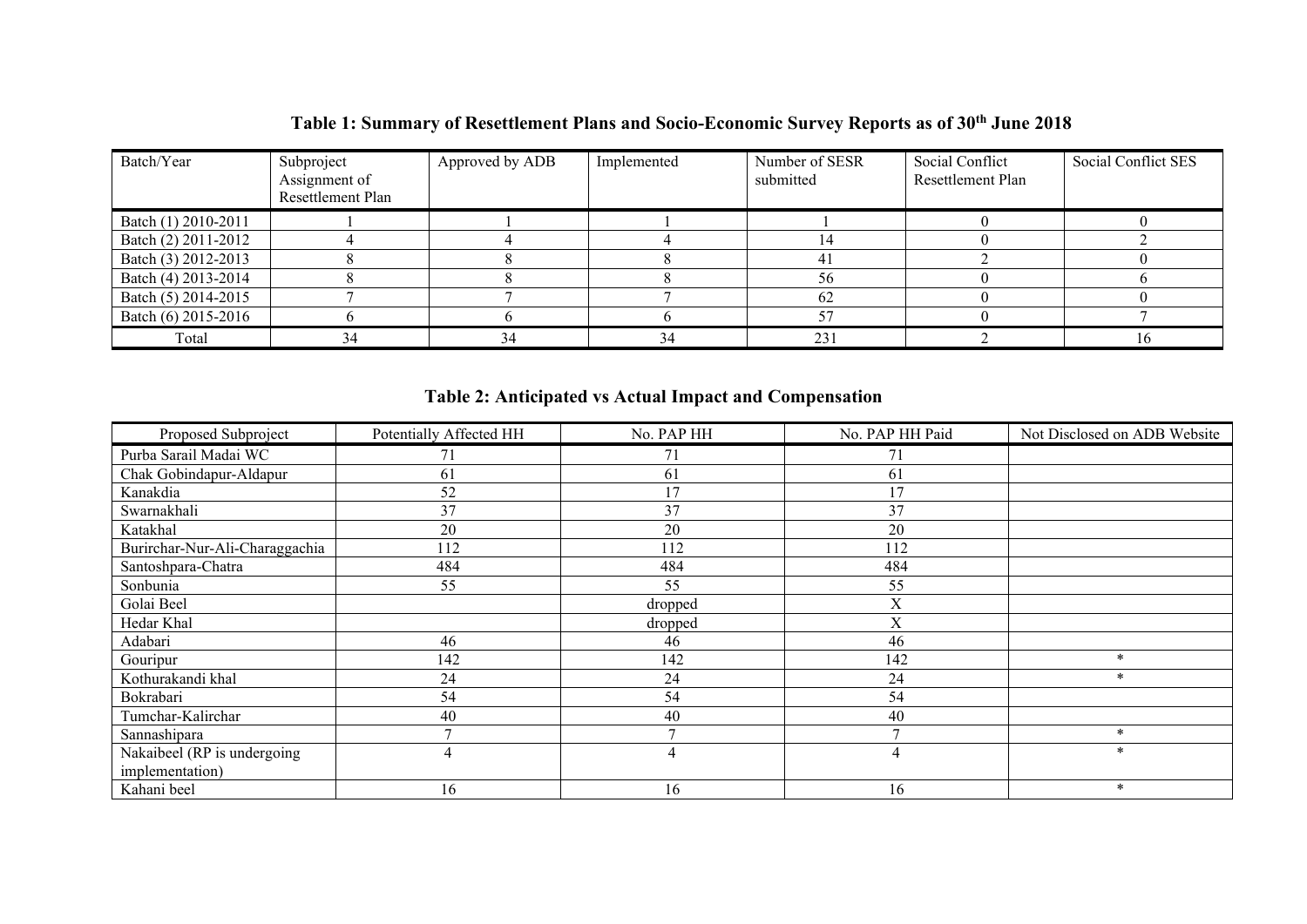## **Table 1: Summary of Resettlement Plans and Socio-Economic Survey Reports as of 30th June 2018**

| Batch/Year          | Subproject<br>Assignment of<br>Resettlement Plan | Approved by ADB | Implemented | Number of SESR<br>submitted | Social Conflict<br>Resettlement Plan | Social Conflict SES |
|---------------------|--------------------------------------------------|-----------------|-------------|-----------------------------|--------------------------------------|---------------------|
| Batch (1) 2010-2011 |                                                  |                 |             |                             |                                      |                     |
| Batch (2) 2011-2012 |                                                  |                 |             | 14                          |                                      |                     |
| Batch (3) 2012-2013 |                                                  |                 |             | 41                          |                                      |                     |
| Batch (4) 2013-2014 |                                                  |                 |             | 56                          |                                      |                     |
| Batch (5) 2014-2015 |                                                  |                 |             | 62                          |                                      |                     |
| Batch (6) 2015-2016 |                                                  |                 |             | 57                          |                                      |                     |
| Total               | 34                                               | 34              | 34          | 231                         |                                      |                     |

## **Table 2: Anticipated vs Actual Impact and Compensation**

| Proposed Subproject            | Potentially Affected HH | No. PAP HH | No. PAP HH Paid | Not Disclosed on ADB Website |
|--------------------------------|-------------------------|------------|-----------------|------------------------------|
| Purba Sarail Madai WC          | 71                      | 71         | 71              |                              |
| Chak Gobindapur-Aldapur        | 61                      | 61         | 61              |                              |
| Kanakdia                       | 52                      | 17         | 17              |                              |
| Swarnakhali                    | 37                      | 37         | 37              |                              |
| Katakhal                       | 20                      | 20         | 20              |                              |
| Burirchar-Nur-Ali-Charaggachia | 112                     | 112        | 112             |                              |
| Santoshpara-Chatra             | 484                     | 484        | 484             |                              |
| Sonbunia                       | 55                      | 55         | 55              |                              |
| Golai Beel                     |                         | dropped    | X               |                              |
| Hedar Khal                     |                         | dropped    | X               |                              |
| Adabari                        | 46                      | 46         | 46              |                              |
| Gouripur                       | 142                     | 142        | 142             | $\ast$                       |
| Kothurakandi khal              | 24                      | 24         | 24              | $\ast$                       |
| Bokrabari                      | 54                      | 54         | 54              |                              |
| Tumchar-Kalirchar              | 40                      | 40         | 40              |                              |
| Sannashipara                   | $\mathbf{r}$            |            | $\overline{ }$  | $\ast$                       |
| Nakaibeel (RP is undergoing    | 4                       | 4          | 4               | $\ast$                       |
| implementation)                |                         |            |                 |                              |
| Kahani beel                    | 16                      | 16         | 16              | $\ast$                       |